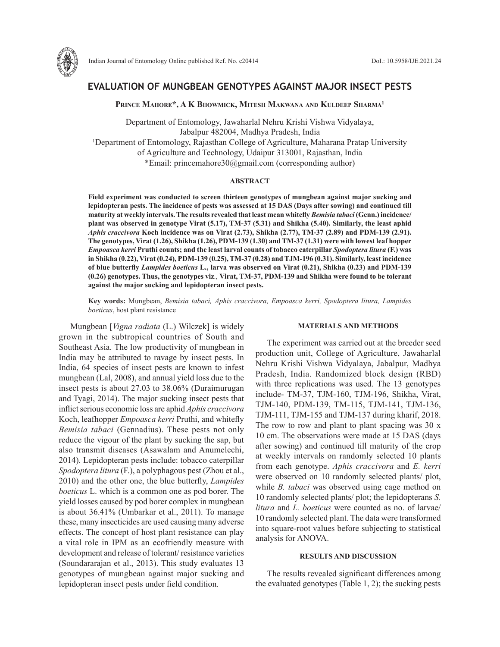

# **EVALUATION OF MUNGBEAN GENOTYPES AGAINST MAJOR INSECT PESTS**

**Prince Mahore\*, A K Bhowmick, Mitesh Makwana and Kuldeep Sharma1**

Department of Entomology, Jawaharlal Nehru Krishi Vishwa Vidyalaya, Jabalpur 482004, Madhya Pradesh, India 1 Department of Entomology, Rajasthan College of Agriculture, Maharana Pratap University of Agriculture and Technology, Udaipur 313001, Rajasthan, India \*Email: princemahore30@gmail.com (corresponding author)

### **ABSTRACT**

**Field experiment was conducted to screen thirteen genotypes of mungbean against major sucking and lepidopteran pests. The incidence of pests was assessed at 15 DAS (Days after sowing) and continued till maturity at weekly intervals. The results revealed that least mean whitefly** *Bemisia tabaci* **(Genn.) incidence/ plant was observed in genotype Virat (5.17), TM-37 (5.31) and Shikha (5.40). Similarly, the least aphid**  *Aphis craccivora* **Koch incidence was on Virat (2.73), Shikha (2.77), TM-37 (2.89) and PDM-139 (2.91). The genotypes, Virat (1.26), Shikha (1.26), PDM-139 (1.30) and TM-37 (1.31) were with lowest leaf hopper**  *Empoasca kerri* **Pruthi counts; and the least larval counts of tobacco caterpillar** *Spodoptera litura* **(F.) was in Shikha (0.22), Virat (0.24), PDM-139 (0.25), TM-37 (0.28) and TJM-196 (0.31). Similarly, least incidence of blue butterfly** *Lampides boeticus* **L., larva was observed on Virat (0.21), Shikha (0.23) and PDM-139 (0.26) genotypes. Thus, the genotypes viz***.,* **Virat, TM-37, PDM-139 and Shikha were found to be tolerant against the major sucking and lepidopteran insect pests.**

**Key words:** Mungbean, *Bemisia tabaci, Aphis craccivora, Empoasca kerri, Spodoptera litura, Lampides boeticus*, host plant resistance

Mungbean [*Vigna radiata* (L.) Wilczek] is widely grown in the subtropical countries of South and Southeast Asia. The low productivity of mungbean in India may be attributed to ravage by insect pests. In India, 64 species of insect pests are known to infest mungbean (Lal, 2008), and annual yield loss due to the insect pests is about 27.03 to 38.06% (Duraimurugan and Tyagi, 2014). The major sucking insect pests that inflict serious economic loss are aphid *Aphis craccivora* Koch, leafhopper *Empoasca kerri* Pruthi, and whitefly *Bemisia tabaci* (Gennadius). These pests not only reduce the vigour of the plant by sucking the sap, but also transmit diseases (Asawalam and Anumelechi, 2014). Lepidopteran pests include: tobacco caterpillar *Spodoptera litura* (F.), a polyphagous pest (Zhou et al., 2010) and the other one, the blue butterfly, *Lampides boeticus* L. which is a common one as pod borer. The yield losses caused by pod borer complex in mungbean is about 36.41% (Umbarkar et al., 2011). To manage these, many insecticides are used causing many adverse effects. The concept of host plant resistance can play a vital role in IPM as an ecofriendly measure with development and release of tolerant/ resistance varieties (Soundararajan et al., 2013). This study evaluates 13 genotypes of mungbean against major sucking and lepidopteran insect pests under field condition.

# **MATERIALS AND METHODS**

The experiment was carried out at the breeder seed production unit, College of Agriculture, Jawaharlal Nehru Krishi Vishwa Vidyalaya, Jabalpur, Madhya Pradesh, India. Randomized block design (RBD) with three replications was used. The 13 genotypes include- TM-37, TJM-160, TJM-196, Shikha, Virat, TJM-140, PDM-139, TM-115, TJM-141, TJM-136, TJM-111, TJM-155 and TJM-137 during kharif, 2018. The row to row and plant to plant spacing was 30 x 10 cm. The observations were made at 15 DAS (days after sowing) and continued till maturity of the crop at weekly intervals on randomly selected 10 plants from each genotype. *Aphis craccivora* and *E. kerri* were observed on 10 randomly selected plants/ plot, while *B. tabaci* was observed using cage method on 10 randomly selected plants/ plot; the lepidopterans *S. litura* and *L. boeticus* were counted as no. of larvae/ 10 randomly selected plant. The data were transformed into square-root values before subjecting to statistical analysis for ANOVA.

# **RESULTS AND DISCUSSION**

The results revealed significant differences among the evaluated genotypes (Table 1, 2); the sucking pests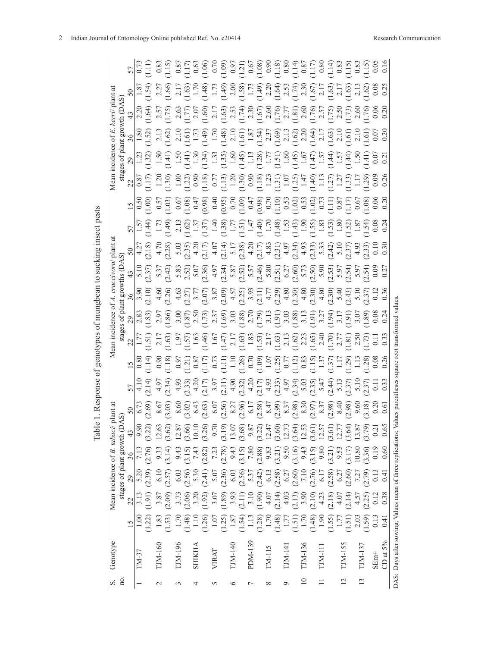| S.             | Genotype                                                       |                                                                                                                                                                                                                                                                                                               |                                                                                                                                                                                                                                                                                                               |                     | Mean incidence of B. tabaci/ |                                                                                                                                                                                                                                                                                                               |                                                                                                                                                                                                                                                                                                                                                                                                                                               |  |                                                                                                                                                                                                                                               |                                                                                                                                                                                                                                                                                                                                                                                                                                                                                   |                                                                                                                                                                                                                                                                                                                                                                                                                                                                                 |                                                                                                                                                                                                                                                                                                                     | Mean                                                                                                                                                                                                                                 |                                                                                                                                                                                                                                                                                                                                                                                                                                                                        |                                                                                                                                                                                                                                                                                                                                                                                                                                                                                   |                                                                                                                                                                                                                                                                                                                        |  |
|----------------|----------------------------------------------------------------|---------------------------------------------------------------------------------------------------------------------------------------------------------------------------------------------------------------------------------------------------------------------------------------------------------------|---------------------------------------------------------------------------------------------------------------------------------------------------------------------------------------------------------------------------------------------------------------------------------------------------------------|---------------------|------------------------------|---------------------------------------------------------------------------------------------------------------------------------------------------------------------------------------------------------------------------------------------------------------------------------------------------------------|-----------------------------------------------------------------------------------------------------------------------------------------------------------------------------------------------------------------------------------------------------------------------------------------------------------------------------------------------------------------------------------------------------------------------------------------------|--|-----------------------------------------------------------------------------------------------------------------------------------------------------------------------------------------------------------------------------------------------|-----------------------------------------------------------------------------------------------------------------------------------------------------------------------------------------------------------------------------------------------------------------------------------------------------------------------------------------------------------------------------------------------------------------------------------------------------------------------------------|---------------------------------------------------------------------------------------------------------------------------------------------------------------------------------------------------------------------------------------------------------------------------------------------------------------------------------------------------------------------------------------------------------------------------------------------------------------------------------|---------------------------------------------------------------------------------------------------------------------------------------------------------------------------------------------------------------------------------------------------------------------------------------------------------------------|--------------------------------------------------------------------------------------------------------------------------------------------------------------------------------------------------------------------------------------|------------------------------------------------------------------------------------------------------------------------------------------------------------------------------------------------------------------------------------------------------------------------------------------------------------------------------------------------------------------------------------------------------------------------------------------------------------------------|-----------------------------------------------------------------------------------------------------------------------------------------------------------------------------------------------------------------------------------------------------------------------------------------------------------------------------------------------------------------------------------------------------------------------------------------------------------------------------------|------------------------------------------------------------------------------------------------------------------------------------------------------------------------------------------------------------------------------------------------------------------------------------------------------------------------|--|
| no.            |                                                                |                                                                                                                                                                                                                                                                                                               |                                                                                                                                                                                                                                                                                                               |                     | stages of plant growth (DA   |                                                                                                                                                                                                                                                                                                               |                                                                                                                                                                                                                                                                                                                                                                                                                                               |  |                                                                                                                                                                                                                                               |                                                                                                                                                                                                                                                                                                                                                                                                                                                                                   |                                                                                                                                                                                                                                                                                                                                                                                                                                                                                 |                                                                                                                                                                                                                                                                                                                     |                                                                                                                                                                                                                                      |                                                                                                                                                                                                                                                                                                                                                                                                                                                                        |                                                                                                                                                                                                                                                                                                                                                                                                                                                                                   |                                                                                                                                                                                                                                                                                                                        |  |
|                |                                                                |                                                                                                                                                                                                                                                                                                               | 22                                                                                                                                                                                                                                                                                                            | 29                  | $\frac{36}{5}$               | 43                                                                                                                                                                                                                                                                                                            |                                                                                                                                                                                                                                                                                                                                                                                                                                               |  |                                                                                                                                                                                                                                               |                                                                                                                                                                                                                                                                                                                                                                                                                                                                                   |                                                                                                                                                                                                                                                                                                                                                                                                                                                                                 |                                                                                                                                                                                                                                                                                                                     |                                                                                                                                                                                                                                      |                                                                                                                                                                                                                                                                                                                                                                                                                                                                        |                                                                                                                                                                                                                                                                                                                                                                                                                                                                                   |                                                                                                                                                                                                                                                                                                                        |  |
|                | TM-37                                                          |                                                                                                                                                                                                                                                                                                               |                                                                                                                                                                                                                                                                                                               | 5.20                |                              | 9.90                                                                                                                                                                                                                                                                                                          |                                                                                                                                                                                                                                                                                                                                                                                                                                               |  |                                                                                                                                                                                                                                               |                                                                                                                                                                                                                                                                                                                                                                                                                                                                                   |                                                                                                                                                                                                                                                                                                                                                                                                                                                                                 |                                                                                                                                                                                                                                                                                                                     |                                                                                                                                                                                                                                      |                                                                                                                                                                                                                                                                                                                                                                                                                                                                        |                                                                                                                                                                                                                                                                                                                                                                                                                                                                                   |                                                                                                                                                                                                                                                                                                                        |  |
|                |                                                                | $1.00$<br>$1.22$                                                                                                                                                                                                                                                                                              | $3.13$<br>1.91)                                                                                                                                                                                                                                                                                               |                     | 7.13                         | (3.22)                                                                                                                                                                                                                                                                                                        | $\begin{array}{l} 5 \\ 4 \\ 7 \\ 4 \\ 6 \\ 7 \end{array} \begin{array}{l} 5 \\ 4 \\ 7 \\ 8 \\ 7 \\ 9 \\ 1 \end{array} \begin{array}{l} 5 \\ 5 \\ 7 \\ 7 \\ 8 \\ 1 \end{array} \begin{array}{l} 5 \\ 5 \\ 7 \\ 1 \\ 1 \end{array} \begin{array}{l} 5 \\ 5 \\ 7 \\ 1 \\ 1 \end{array} \begin{array}{l} 5 \\ 5 \\ 7 \\ 1 \\ 1 \end{array} \begin{array}{l} 5 \\ 5 \\ 7 \\ 1 \\ 1 \end{array} \begin{array}{l} 5 \\ 5 \\ 7 \\ 1 \\ 1 \end{array}$ |  | es of plant grow<br>es of plant grow and grow and grow and grow and grow and completed<br>(1.83) (2.26) (2.27) 7<br>(1.83) (2.26) (2.27) 7<br>(1.85) (2.27) 7<br>(1.85) (2.27) 7<br>(1.85) (2.27) 3.87<br>(1.91) (2.39) 3.93<br>(1.91) (2.39) | $\begin{array}{l} \tilde{P}^{\prime} = \frac{1}{2} \left( \begin{array}{cc} \tilde{P}^{\prime} & \tilde{P}^{\prime} \\ \tilde{P}^{\prime} & \tilde{P}^{\prime} \end{array} \right) \left( \begin{array}{cc} \tilde{P}^{\prime} & \tilde{P}^{\prime} \\ \tilde{P}^{\prime} & \tilde{P}^{\prime} \end{array} \right) \left( \begin{array}{cc} \tilde{P}^{\prime} & \tilde{P}^{\prime} \\ \tilde{P}^{\prime} & \tilde{P}^{\prime} \end{array} \right) \left( \begin{array}{cc} \til$ | $5\begin{bmatrix} 5 \\ 4 \\ 7 \end{bmatrix} \begin{bmatrix} 2 \\ 1 \\ 2 \end{bmatrix} \begin{bmatrix} 2 \\ 2 \\ 3 \end{bmatrix} \begin{bmatrix} 2 \\ 2 \\ 3 \end{bmatrix} \begin{bmatrix} 2 \\ 2 \\ 3 \end{bmatrix} \begin{bmatrix} 2 \\ 2 \\ 3 \end{bmatrix} \begin{bmatrix} 2 \\ 2 \\ 3 \end{bmatrix} \begin{bmatrix} 2 \\ 2 \\ 1 \end{bmatrix} \begin{bmatrix} 2 \\ 2 \\ 3 \end{bmatrix} \begin{bmatrix} 2 \\ 2 \\ 3 \end{bmatrix} \begin{bmatrix} 2 \\ 2 \\ 3 \end{bmatrix$ | $\begin{array}{l} 1000 \\[-4pt] 0.500 \\[-4pt] 0.500 \\[-4pt] 0.500 \\[-4pt] 0.500 \\[-4pt] 0.500 \\[-4pt] 0.500 \\[-4pt] 0.500 \\[-4pt] 0.500 \\[-4pt] 0.500 \\[-4pt] 0.500 \\[-4pt] 0.500 \\[-4pt] 0.500 \\[-4pt] 0.500 \\[-4pt] 0.500 \\[-4pt] 0.500 \\[-4pt] 0.500 \\[-4pt] 0.500 \\[-4pt] 0.500 \\[-4pt] 0.50$ | sa (1815)<br>1985 - The Santo Colores (1986), provincial de la colores de la colores de la colores (1986), provincial de l<br>1985 - The Santo Colores (1986), provincial de la colores (1986), provincial de la colores (1986), pro | $\begin{array}{l} \left(\frac{1}{2},\frac{1}{2}\right) \left(\frac{1}{2},\frac{1}{2}\right) \left(\frac{1}{2},\frac{1}{2}\right) \left(\frac{1}{2},\frac{1}{2}\right) \left(\frac{1}{2},\frac{1}{2}\right) \left(\frac{1}{2},\frac{1}{2}\right) \left(\frac{1}{2},\frac{1}{2}\right) \left(\frac{1}{2},\frac{1}{2}\right) \left(\frac{1}{2},\frac{1}{2}\right) \left(\frac{1}{2},\frac{1}{2}\right) \left(\frac{1}{2},\frac{1}{2}\right) \left(\frac{1}{2},\frac{1}{2$ | $\frac{1}{2} \times \frac{1}{2} \times \frac{1}{2} \times \frac{1}{2} \times \frac{1}{2} \times \frac{1}{2} \times \frac{1}{2} \times \frac{1}{2} \times \frac{1}{2} \times \frac{1}{2} \times \frac{1}{2} \times \frac{1}{2} \times \frac{1}{2} \times \frac{1}{2} \times \frac{1}{2} \times \frac{1}{2} \times \frac{1}{2} \times \frac{1}{2} \times \frac{1}{2} \times \frac{1}{2} \times \frac{1}{2} \times \frac{1}{2} \times \frac{1}{2} \times \frac{1}{2} \times \frac{1$ | $\begin{array}{l} 50 \\[-1.87.3] \hline 1.874, \\[-1.87.3] \hline 1.474, \\[-1.87.3] \hline 2.174, \\[-1.87.3] \hline 2.174, \\[-1.87.3] \hline 2.174, \\[-1.87.3] \hline 2.174, \\[-1.87.3] \hline 2.174, \\[-1.87.3] \hline 2.174, \\[-1.87.3] \hline 2.174, \\[-1.87.3] \hline 2.174, \\[-1.87.3] \hline 2.174, \\$ |  |
| $\mathcal{C}$  | TJM-160                                                        |                                                                                                                                                                                                                                                                                                               |                                                                                                                                                                                                                                                                                                               |                     |                              |                                                                                                                                                                                                                                                                                                               |                                                                                                                                                                                                                                                                                                                                                                                                                                               |  |                                                                                                                                                                                                                                               |                                                                                                                                                                                                                                                                                                                                                                                                                                                                                   |                                                                                                                                                                                                                                                                                                                                                                                                                                                                                 |                                                                                                                                                                                                                                                                                                                     |                                                                                                                                                                                                                                      |                                                                                                                                                                                                                                                                                                                                                                                                                                                                        |                                                                                                                                                                                                                                                                                                                                                                                                                                                                                   |                                                                                                                                                                                                                                                                                                                        |  |
|                |                                                                | $1.83$<br>$1.53$                                                                                                                                                                                                                                                                                              | 3.87<br>2.09)                                                                                                                                                                                                                                                                                                 | $6.10$<br>(2.57)    | $9.33$<br>$3.14$ )           | $12.63$<br>$(3.62)$                                                                                                                                                                                                                                                                                           |                                                                                                                                                                                                                                                                                                                                                                                                                                               |  |                                                                                                                                                                                                                                               |                                                                                                                                                                                                                                                                                                                                                                                                                                                                                   |                                                                                                                                                                                                                                                                                                                                                                                                                                                                                 |                                                                                                                                                                                                                                                                                                                     |                                                                                                                                                                                                                                      |                                                                                                                                                                                                                                                                                                                                                                                                                                                                        |                                                                                                                                                                                                                                                                                                                                                                                                                                                                                   |                                                                                                                                                                                                                                                                                                                        |  |
| 3              | TJM-196                                                        |                                                                                                                                                                                                                                                                                                               |                                                                                                                                                                                                                                                                                                               |                     |                              |                                                                                                                                                                                                                                                                                                               |                                                                                                                                                                                                                                                                                                                                                                                                                                               |  |                                                                                                                                                                                                                                               |                                                                                                                                                                                                                                                                                                                                                                                                                                                                                   |                                                                                                                                                                                                                                                                                                                                                                                                                                                                                 |                                                                                                                                                                                                                                                                                                                     |                                                                                                                                                                                                                                      |                                                                                                                                                                                                                                                                                                                                                                                                                                                                        |                                                                                                                                                                                                                                                                                                                                                                                                                                                                                   |                                                                                                                                                                                                                                                                                                                        |  |
|                |                                                                |                                                                                                                                                                                                                                                                                                               |                                                                                                                                                                                                                                                                                                               |                     |                              |                                                                                                                                                                                                                                                                                                               |                                                                                                                                                                                                                                                                                                                                                                                                                                               |  |                                                                                                                                                                                                                                               |                                                                                                                                                                                                                                                                                                                                                                                                                                                                                   |                                                                                                                                                                                                                                                                                                                                                                                                                                                                                 |                                                                                                                                                                                                                                                                                                                     |                                                                                                                                                                                                                                      |                                                                                                                                                                                                                                                                                                                                                                                                                                                                        |                                                                                                                                                                                                                                                                                                                                                                                                                                                                                   |                                                                                                                                                                                                                                                                                                                        |  |
| 4              | <b>SHIKHA</b>                                                  |                                                                                                                                                                                                                                                                                                               |                                                                                                                                                                                                                                                                                                               |                     |                              |                                                                                                                                                                                                                                                                                                               |                                                                                                                                                                                                                                                                                                                                                                                                                                               |  |                                                                                                                                                                                                                                               |                                                                                                                                                                                                                                                                                                                                                                                                                                                                                   |                                                                                                                                                                                                                                                                                                                                                                                                                                                                                 |                                                                                                                                                                                                                                                                                                                     |                                                                                                                                                                                                                                      |                                                                                                                                                                                                                                                                                                                                                                                                                                                                        |                                                                                                                                                                                                                                                                                                                                                                                                                                                                                   |                                                                                                                                                                                                                                                                                                                        |  |
|                |                                                                | $\begin{array}{l} 1.88 \\ 1.11 \\ 1.12 \\ 1.13 \\ 1.24 \\ 1.35 \\ 1.45 \\ 1.56 \\ 1.67 \\ 1.77 \\ 1.88 \\ 1.77 \\ 1.78 \\ 1.79 \\ 1.79 \\ 1.71 \\ 1.71 \\ 1.71 \\ 1.71 \\ 1.71 \\ 1.71 \\ 1.71 \\ 1.71 \\ 1.71 \\ 1.71 \\ 1.71 \\ 1.71 \\ 1.71 \\ 1.71 \\ 1.72 \\ 1.73 \\ 1.73 \\ 1.75 \\ 1.75 \\ 1.75 \\ 1.$ | $\begin{array}{l} 7.76 \\ 7.96 \\ 8.37 \\ 9.37 \\ 1.92 \\ 1.93 \\ 1.95 \\ 1.97 \\ 1.98 \\ 1.99 \\ 1.91 \\ 1.91 \\ 1.91 \\ 1.91 \\ 1.91 \\ 1.91 \\ 1.91 \\ 1.91 \\ 1.91 \\ 1.91 \\ 1.91 \\ 1.91 \\ 1.91 \\ 1.91 \\ 1.91 \\ 1.91 \\ 1.91 \\ 1.91 \\ 1.91 \\ 1.91 \\ 1.91 \\ 1.91 \\ 1.91 \\ 1.91 \\ 1.91 \\ 1.$ |                     |                              | $\begin{array}{l} 2.87 \\ 1.66 \\ 2.69 \\ 3.99 \\ 4.11 \\ 5.12 \\ 5.13 \\ 5.15 \\ 5.16 \\ 5.17 \\ 5.19 \\ 5.13 \\ 5.13 \\ 5.13 \\ 5.14 \\ 5.15 \\ 5.17 \\ 5.17 \\ 5.17 \\ 5.17 \\ 5.17 \\ 5.17 \\ 5.17 \\ 5.17 \\ 5.17 \\ 5.17 \\ 5.17 \\ 5.17 \\ 5.17 \\ 5.17 \\ 5.17 \\ 5.17 \\ 5.17 \\ 5.17 \\ 5.17 \\ 5.$ |                                                                                                                                                                                                                                                                                                                                                                                                                                               |  |                                                                                                                                                                                                                                               |                                                                                                                                                                                                                                                                                                                                                                                                                                                                                   |                                                                                                                                                                                                                                                                                                                                                                                                                                                                                 |                                                                                                                                                                                                                                                                                                                     |                                                                                                                                                                                                                                      |                                                                                                                                                                                                                                                                                                                                                                                                                                                                        |                                                                                                                                                                                                                                                                                                                                                                                                                                                                                   |                                                                                                                                                                                                                                                                                                                        |  |
| 5              | <b>VIRAT</b>                                                   |                                                                                                                                                                                                                                                                                                               |                                                                                                                                                                                                                                                                                                               |                     |                              |                                                                                                                                                                                                                                                                                                               |                                                                                                                                                                                                                                                                                                                                                                                                                                               |  |                                                                                                                                                                                                                                               |                                                                                                                                                                                                                                                                                                                                                                                                                                                                                   |                                                                                                                                                                                                                                                                                                                                                                                                                                                                                 |                                                                                                                                                                                                                                                                                                                     |                                                                                                                                                                                                                                      |                                                                                                                                                                                                                                                                                                                                                                                                                                                                        |                                                                                                                                                                                                                                                                                                                                                                                                                                                                                   |                                                                                                                                                                                                                                                                                                                        |  |
|                |                                                                |                                                                                                                                                                                                                                                                                                               |                                                                                                                                                                                                                                                                                                               |                     |                              |                                                                                                                                                                                                                                                                                                               |                                                                                                                                                                                                                                                                                                                                                                                                                                               |  |                                                                                                                                                                                                                                               |                                                                                                                                                                                                                                                                                                                                                                                                                                                                                   |                                                                                                                                                                                                                                                                                                                                                                                                                                                                                 |                                                                                                                                                                                                                                                                                                                     |                                                                                                                                                                                                                                      |                                                                                                                                                                                                                                                                                                                                                                                                                                                                        |                                                                                                                                                                                                                                                                                                                                                                                                                                                                                   |                                                                                                                                                                                                                                                                                                                        |  |
| $\circ$        | TJM-140                                                        |                                                                                                                                                                                                                                                                                                               |                                                                                                                                                                                                                                                                                                               |                     |                              |                                                                                                                                                                                                                                                                                                               |                                                                                                                                                                                                                                                                                                                                                                                                                                               |  |                                                                                                                                                                                                                                               |                                                                                                                                                                                                                                                                                                                                                                                                                                                                                   |                                                                                                                                                                                                                                                                                                                                                                                                                                                                                 |                                                                                                                                                                                                                                                                                                                     |                                                                                                                                                                                                                                      |                                                                                                                                                                                                                                                                                                                                                                                                                                                                        |                                                                                                                                                                                                                                                                                                                                                                                                                                                                                   |                                                                                                                                                                                                                                                                                                                        |  |
|                |                                                                |                                                                                                                                                                                                                                                                                                               |                                                                                                                                                                                                                                                                                                               |                     |                              |                                                                                                                                                                                                                                                                                                               |                                                                                                                                                                                                                                                                                                                                                                                                                                               |  |                                                                                                                                                                                                                                               |                                                                                                                                                                                                                                                                                                                                                                                                                                                                                   |                                                                                                                                                                                                                                                                                                                                                                                                                                                                                 |                                                                                                                                                                                                                                                                                                                     |                                                                                                                                                                                                                                      |                                                                                                                                                                                                                                                                                                                                                                                                                                                                        |                                                                                                                                                                                                                                                                                                                                                                                                                                                                                   |                                                                                                                                                                                                                                                                                                                        |  |
| Γ              | PDM-139                                                        |                                                                                                                                                                                                                                                                                                               |                                                                                                                                                                                                                                                                                                               |                     |                              |                                                                                                                                                                                                                                                                                                               |                                                                                                                                                                                                                                                                                                                                                                                                                                               |  |                                                                                                                                                                                                                                               |                                                                                                                                                                                                                                                                                                                                                                                                                                                                                   |                                                                                                                                                                                                                                                                                                                                                                                                                                                                                 |                                                                                                                                                                                                                                                                                                                     |                                                                                                                                                                                                                                      |                                                                                                                                                                                                                                                                                                                                                                                                                                                                        |                                                                                                                                                                                                                                                                                                                                                                                                                                                                                   |                                                                                                                                                                                                                                                                                                                        |  |
|                |                                                                |                                                                                                                                                                                                                                                                                                               |                                                                                                                                                                                                                                                                                                               |                     |                              |                                                                                                                                                                                                                                                                                                               |                                                                                                                                                                                                                                                                                                                                                                                                                                               |  |                                                                                                                                                                                                                                               |                                                                                                                                                                                                                                                                                                                                                                                                                                                                                   |                                                                                                                                                                                                                                                                                                                                                                                                                                                                                 |                                                                                                                                                                                                                                                                                                                     |                                                                                                                                                                                                                                      |                                                                                                                                                                                                                                                                                                                                                                                                                                                                        |                                                                                                                                                                                                                                                                                                                                                                                                                                                                                   |                                                                                                                                                                                                                                                                                                                        |  |
| ∞              | TM-115                                                         |                                                                                                                                                                                                                                                                                                               |                                                                                                                                                                                                                                                                                                               |                     |                              |                                                                                                                                                                                                                                                                                                               |                                                                                                                                                                                                                                                                                                                                                                                                                                               |  |                                                                                                                                                                                                                                               |                                                                                                                                                                                                                                                                                                                                                                                                                                                                                   |                                                                                                                                                                                                                                                                                                                                                                                                                                                                                 |                                                                                                                                                                                                                                                                                                                     |                                                                                                                                                                                                                                      |                                                                                                                                                                                                                                                                                                                                                                                                                                                                        |                                                                                                                                                                                                                                                                                                                                                                                                                                                                                   |                                                                                                                                                                                                                                                                                                                        |  |
|                |                                                                |                                                                                                                                                                                                                                                                                                               |                                                                                                                                                                                                                                                                                                               |                     |                              |                                                                                                                                                                                                                                                                                                               |                                                                                                                                                                                                                                                                                                                                                                                                                                               |  |                                                                                                                                                                                                                                               |                                                                                                                                                                                                                                                                                                                                                                                                                                                                                   |                                                                                                                                                                                                                                                                                                                                                                                                                                                                                 |                                                                                                                                                                                                                                                                                                                     |                                                                                                                                                                                                                                      |                                                                                                                                                                                                                                                                                                                                                                                                                                                                        |                                                                                                                                                                                                                                                                                                                                                                                                                                                                                   |                                                                                                                                                                                                                                                                                                                        |  |
| Ō              | TJM-141                                                        |                                                                                                                                                                                                                                                                                                               |                                                                                                                                                                                                                                                                                                               |                     |                              |                                                                                                                                                                                                                                                                                                               |                                                                                                                                                                                                                                                                                                                                                                                                                                               |  |                                                                                                                                                                                                                                               |                                                                                                                                                                                                                                                                                                                                                                                                                                                                                   |                                                                                                                                                                                                                                                                                                                                                                                                                                                                                 |                                                                                                                                                                                                                                                                                                                     |                                                                                                                                                                                                                                      |                                                                                                                                                                                                                                                                                                                                                                                                                                                                        |                                                                                                                                                                                                                                                                                                                                                                                                                                                                                   |                                                                                                                                                                                                                                                                                                                        |  |
|                |                                                                |                                                                                                                                                                                                                                                                                                               |                                                                                                                                                                                                                                                                                                               |                     |                              |                                                                                                                                                                                                                                                                                                               |                                                                                                                                                                                                                                                                                                                                                                                                                                               |  |                                                                                                                                                                                                                                               |                                                                                                                                                                                                                                                                                                                                                                                                                                                                                   |                                                                                                                                                                                                                                                                                                                                                                                                                                                                                 |                                                                                                                                                                                                                                                                                                                     |                                                                                                                                                                                                                                      |                                                                                                                                                                                                                                                                                                                                                                                                                                                                        |                                                                                                                                                                                                                                                                                                                                                                                                                                                                                   |                                                                                                                                                                                                                                                                                                                        |  |
| $\supseteq$    | TJM-136                                                        |                                                                                                                                                                                                                                                                                                               |                                                                                                                                                                                                                                                                                                               |                     |                              |                                                                                                                                                                                                                                                                                                               |                                                                                                                                                                                                                                                                                                                                                                                                                                               |  |                                                                                                                                                                                                                                               |                                                                                                                                                                                                                                                                                                                                                                                                                                                                                   |                                                                                                                                                                                                                                                                                                                                                                                                                                                                                 |                                                                                                                                                                                                                                                                                                                     |                                                                                                                                                                                                                                      |                                                                                                                                                                                                                                                                                                                                                                                                                                                                        |                                                                                                                                                                                                                                                                                                                                                                                                                                                                                   |                                                                                                                                                                                                                                                                                                                        |  |
|                |                                                                |                                                                                                                                                                                                                                                                                                               |                                                                                                                                                                                                                                                                                                               |                     |                              |                                                                                                                                                                                                                                                                                                               |                                                                                                                                                                                                                                                                                                                                                                                                                                               |  |                                                                                                                                                                                                                                               |                                                                                                                                                                                                                                                                                                                                                                                                                                                                                   |                                                                                                                                                                                                                                                                                                                                                                                                                                                                                 |                                                                                                                                                                                                                                                                                                                     |                                                                                                                                                                                                                                      |                                                                                                                                                                                                                                                                                                                                                                                                                                                                        |                                                                                                                                                                                                                                                                                                                                                                                                                                                                                   |                                                                                                                                                                                                                                                                                                                        |  |
| $\equiv$       | <b>CJM-111</b>                                                 |                                                                                                                                                                                                                                                                                                               |                                                                                                                                                                                                                                                                                                               |                     |                              |                                                                                                                                                                                                                                                                                                               |                                                                                                                                                                                                                                                                                                                                                                                                                                               |  |                                                                                                                                                                                                                                               |                                                                                                                                                                                                                                                                                                                                                                                                                                                                                   |                                                                                                                                                                                                                                                                                                                                                                                                                                                                                 |                                                                                                                                                                                                                                                                                                                     |                                                                                                                                                                                                                                      |                                                                                                                                                                                                                                                                                                                                                                                                                                                                        |                                                                                                                                                                                                                                                                                                                                                                                                                                                                                   |                                                                                                                                                                                                                                                                                                                        |  |
|                |                                                                |                                                                                                                                                                                                                                                                                                               |                                                                                                                                                                                                                                                                                                               |                     |                              |                                                                                                                                                                                                                                                                                                               |                                                                                                                                                                                                                                                                                                                                                                                                                                               |  |                                                                                                                                                                                                                                               |                                                                                                                                                                                                                                                                                                                                                                                                                                                                                   |                                                                                                                                                                                                                                                                                                                                                                                                                                                                                 |                                                                                                                                                                                                                                                                                                                     |                                                                                                                                                                                                                                      |                                                                                                                                                                                                                                                                                                                                                                                                                                                                        |                                                                                                                                                                                                                                                                                                                                                                                                                                                                                   |                                                                                                                                                                                                                                                                                                                        |  |
| $\overline{c}$ |                                                                |                                                                                                                                                                                                                                                                                                               |                                                                                                                                                                                                                                                                                                               |                     |                              |                                                                                                                                                                                                                                                                                                               |                                                                                                                                                                                                                                                                                                                                                                                                                                               |  |                                                                                                                                                                                                                                               |                                                                                                                                                                                                                                                                                                                                                                                                                                                                                   |                                                                                                                                                                                                                                                                                                                                                                                                                                                                                 |                                                                                                                                                                                                                                                                                                                     |                                                                                                                                                                                                                                      |                                                                                                                                                                                                                                                                                                                                                                                                                                                                        |                                                                                                                                                                                                                                                                                                                                                                                                                                                                                   |                                                                                                                                                                                                                                                                                                                        |  |
|                | TJM-155                                                        |                                                                                                                                                                                                                                                                                                               |                                                                                                                                                                                                                                                                                                               |                     |                              |                                                                                                                                                                                                                                                                                                               |                                                                                                                                                                                                                                                                                                                                                                                                                                               |  |                                                                                                                                                                                                                                               |                                                                                                                                                                                                                                                                                                                                                                                                                                                                                   |                                                                                                                                                                                                                                                                                                                                                                                                                                                                                 |                                                                                                                                                                                                                                                                                                                     |                                                                                                                                                                                                                                      |                                                                                                                                                                                                                                                                                                                                                                                                                                                                        |                                                                                                                                                                                                                                                                                                                                                                                                                                                                                   |                                                                                                                                                                                                                                                                                                                        |  |
| $\mathbf{13}$  |                                                                |                                                                                                                                                                                                                                                                                                               |                                                                                                                                                                                                                                                                                                               |                     |                              |                                                                                                                                                                                                                                                                                                               |                                                                                                                                                                                                                                                                                                                                                                                                                                               |  |                                                                                                                                                                                                                                               |                                                                                                                                                                                                                                                                                                                                                                                                                                                                                   |                                                                                                                                                                                                                                                                                                                                                                                                                                                                                 |                                                                                                                                                                                                                                                                                                                     |                                                                                                                                                                                                                                      |                                                                                                                                                                                                                                                                                                                                                                                                                                                                        |                                                                                                                                                                                                                                                                                                                                                                                                                                                                                   |                                                                                                                                                                                                                                                                                                                        |  |
|                | TJM-137                                                        | 1.59                                                                                                                                                                                                                                                                                                          | 2.25                                                                                                                                                                                                                                                                                                          |                     |                              | 3.79)<br>0.21<br>0.65                                                                                                                                                                                                                                                                                         |                                                                                                                                                                                                                                                                                                                                                                                                                                               |  |                                                                                                                                                                                                                                               |                                                                                                                                                                                                                                                                                                                                                                                                                                                                                   |                                                                                                                                                                                                                                                                                                                                                                                                                                                                                 |                                                                                                                                                                                                                                                                                                                     |                                                                                                                                                                                                                                      |                                                                                                                                                                                                                                                                                                                                                                                                                                                                        |                                                                                                                                                                                                                                                                                                                                                                                                                                                                                   |                                                                                                                                                                                                                                                                                                                        |  |
|                | $SEm\pm$                                                       | $\frac{13}{0.41}$                                                                                                                                                                                                                                                                                             | $\frac{0.12}{0.38}$                                                                                                                                                                                                                                                                                           | $\frac{0.13}{0.41}$ |                              |                                                                                                                                                                                                                                                                                                               |                                                                                                                                                                                                                                                                                                                                                                                                                                               |  |                                                                                                                                                                                                                                               |                                                                                                                                                                                                                                                                                                                                                                                                                                                                                   |                                                                                                                                                                                                                                                                                                                                                                                                                                                                                 |                                                                                                                                                                                                                                                                                                                     |                                                                                                                                                                                                                                      |                                                                                                                                                                                                                                                                                                                                                                                                                                                                        |                                                                                                                                                                                                                                                                                                                                                                                                                                                                                   |                                                                                                                                                                                                                                                                                                                        |  |
|                | CD at $5\%$                                                    |                                                                                                                                                                                                                                                                                                               |                                                                                                                                                                                                                                                                                                               |                     |                              |                                                                                                                                                                                                                                                                                                               |                                                                                                                                                                                                                                                                                                                                                                                                                                               |  |                                                                                                                                                                                                                                               |                                                                                                                                                                                                                                                                                                                                                                                                                                                                                   |                                                                                                                                                                                                                                                                                                                                                                                                                                                                                 |                                                                                                                                                                                                                                                                                                                     |                                                                                                                                                                                                                                      |                                                                                                                                                                                                                                                                                                                                                                                                                                                                        |                                                                                                                                                                                                                                                                                                                                                                                                                                                                                   |                                                                                                                                                                                                                                                                                                                        |  |
|                | DAS: Days after sowing; Values mean of three replications; Val |                                                                                                                                                                                                                                                                                                               |                                                                                                                                                                                                                                                                                                               |                     |                              |                                                                                                                                                                                                                                                                                                               |                                                                                                                                                                                                                                                                                                                                                                                                                                               |  | lues parentheses square root transformed values                                                                                                                                                                                               |                                                                                                                                                                                                                                                                                                                                                                                                                                                                                   |                                                                                                                                                                                                                                                                                                                                                                                                                                                                                 |                                                                                                                                                                                                                                                                                                                     |                                                                                                                                                                                                                                      |                                                                                                                                                                                                                                                                                                                                                                                                                                                                        |                                                                                                                                                                                                                                                                                                                                                                                                                                                                                   |                                                                                                                                                                                                                                                                                                                        |  |

Table 1. Response of genotypes of mungbean to sucking insect pests Table 1. Response of genotypes of mungbean to sucking insect pests

2 Indian Journal of Entomology Online published Ref. No. e20414 Research Communication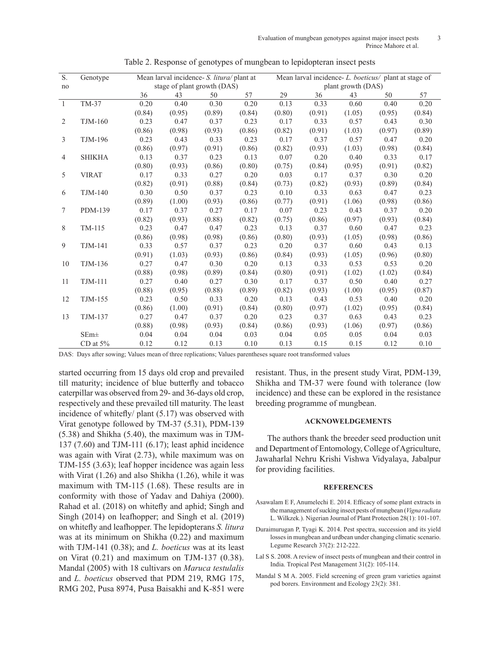| S.             | Genotype         |        | Mean larval incidence- S. litura/ plant at |        |        | Mean larval incidence- L. boeticus/ plant at stage of |                    |        |        |        |  |
|----------------|------------------|--------|--------------------------------------------|--------|--------|-------------------------------------------------------|--------------------|--------|--------|--------|--|
| no             |                  |        | stage of plant growth (DAS)                |        |        |                                                       | plant growth (DAS) |        |        |        |  |
|                |                  | 36     | 43                                         | 50     | 57     | 29                                                    | 36                 | 43     | 50     | 57     |  |
| $\overline{1}$ | TM-37            | 0.20   | 0.40                                       | 0.30   | 0.20   | 0.13                                                  | 0.33               | 0.60   | 0.40   | 0.20   |  |
|                |                  | (0.84) | (0.95)                                     | (0.89) | (0.84) | (0.80)                                                | (0.91)             | (1.05) | (0.95) | (0.84) |  |
| 2              | <b>TJM-160</b>   | 0.23   | 0.47                                       | 0.37   | 0.23   | 0.17                                                  | 0.33               | 0.57   | 0.43   | 0.30   |  |
|                |                  | (0.86) | (0.98)                                     | (0.93) | (0.86) | (0.82)                                                | (0.91)             | (1.03) | (0.97) | (0.89) |  |
| 3              | TJM-196          | 0.23   | 0.43                                       | 0.33   | 0.23   | 0.17                                                  | 0.37               | 0.57   | 0.47   | 0.20   |  |
|                |                  | (0.86) | (0.97)                                     | (0.91) | (0.86) | (0.82)                                                | (0.93)             | (1.03) | (0.98) | (0.84) |  |
| 4              | <b>SHIKHA</b>    | 0.13   | 0.37                                       | 0.23   | 0.13   | 0.07                                                  | 0.20               | 0.40   | 0.33   | 0.17   |  |
|                |                  | (0.80) | (0.93)                                     | (0.86) | (0.80) | (0.75)                                                | (0.84)             | (0.95) | (0.91) | (0.82) |  |
| 5              | <b>VIRAT</b>     | 0.17   | 0.33                                       | 0.27   | 0.20   | 0.03                                                  | 0.17               | 0.37   | 0.30   | 0.20   |  |
|                |                  | (0.82) | (0.91)                                     | (0.88) | (0.84) | (0.73)                                                | (0.82)             | (0.93) | (0.89) | (0.84) |  |
| 6              | <b>TJM-140</b>   | 0.30   | 0.50                                       | 0.37   | 0.23   | 0.10                                                  | 0.33               | 0.63   | 0.47   | 0.23   |  |
|                |                  | (0.89) | (1.00)                                     | (0.93) | (0.86) | (0.77)                                                | (0.91)             | (1.06) | (0.98) | (0.86) |  |
| 7              | <b>PDM-139</b>   | 0.17   | 0.37                                       | 0.27   | 0.17   | 0.07                                                  | 0.23               | 0.43   | 0.37   | 0.20   |  |
|                |                  | (0.82) | (0.93)                                     | (0.88) | (0.82) | (0.75)                                                | (0.86)             | (0.97) | (0.93) | (0.84) |  |
| 8              | TM-115           | 0.23   | 0.47                                       | 0.47   | 0.23   | 0.13                                                  | 0.37               | 0.60   | 0.47   | 0.23   |  |
|                |                  | (0.86) | (0.98)                                     | (0.98) | (0.86) | (0.80)                                                | (0.93)             | (1.05) | (0.98) | (0.86) |  |
| 9              | TJM-141          | 0.33   | 0.57                                       | 0.37   | 0.23   | 0.20                                                  | 0.37               | 0.60   | 0.43   | 0.13   |  |
|                |                  | (0.91) | (1.03)                                     | (0.93) | (0.86) | (0.84)                                                | (0.93)             | (1.05) | (0.96) | (0.80) |  |
| 10             | TJM-136          | 0.27   | 0.47                                       | 0.30   | 0.20   | 0.13                                                  | 0.33               | 0.53   | 0.53   | 0.20   |  |
|                |                  | (0.88) | (0.98)                                     | (0.89) | (0.84) | (0.80)                                                | (0.91)             | (1.02) | (1.02) | (0.84) |  |
| 11             | <b>TJM-111</b>   | 0.27   | 0.40                                       | 0.27   | 0.30   | 0.17                                                  | 0.37               | 0.50   | 0.40   | 0.27   |  |
|                |                  | (0.88) | (0.95)                                     | (0.88) | (0.89) | (0.82)                                                | (0.93)             | (1.00) | (0.95) | (0.87) |  |
| 12             | <b>TJM-155</b>   | 0.23   | 0.50                                       | 0.33   | 0.20   | 0.13                                                  | 0.43               | 0.53   | 0.40   | 0.20   |  |
|                |                  | (0.86) | (1.00)                                     | (0.91) | (0.84) | (0.80)                                                | (0.97)             | (1.02) | (0.95) | (0.84) |  |
| 13             | TJM-137          | 0.27   | 0.47                                       | 0.37   | 0.20   | 0.23                                                  | 0.37               | 0.63   | 0.43   | 0.23   |  |
|                |                  | (0.88) | (0.98)                                     | (0.93) | (0.84) | (0.86)                                                | (0.93)             | (1.06) | (0.97) | (0.86) |  |
|                | SEm <sup>±</sup> | 0.04   | 0.04                                       | 0.04   | 0.03   | 0.04                                                  | 0.05               | 0.05   | 0.04   | 0.03   |  |
|                | CD at $5%$       | 0.12   | 0.12                                       | 0.13   | 0.10   | 0.13                                                  | 0.15               | 0.15   | 0.12   | 0.10   |  |

Table 2. Response of genotypes of mungbean to lepidopteran insect pests

DAS: Days after sowing; Values mean of three replications; Values parentheses square root transformed values

started occurring from 15 days old crop and prevailed till maturity; incidence of blue butterfly and tobacco caterpillar was observed from 29- and 36-days old crop, respectively and these prevailed till maturity. The least incidence of whitefly/ plant (5.17) was observed with Virat genotype followed by TM-37 (5.31), PDM-139 (5.38) and Shikha (5.40), the maximum was in TJM-137 (7.60) and TJM-111 (6.17); least aphid incidence was again with Virat (2.73), while maximum was on TJM-155 (3.63); leaf hopper incidence was again less with Virat (1.26) and also Shikha (1.26), while it was maximum with TM-115 (1.68). These results are in conformity with those of Yadav and Dahiya (2000). Rahad et al. (2018) on whitefly and aphid; Singh and Singh (2014) on leafhopper; and Singh et al. (2019) on whitefly and leafhopper. The lepidopterans *S. litura* was at its minimum on Shikha (0.22) and maximum with TJM-141 (0.38); and *L. boeticus* was at its least on Virat (0.21) and maximum on TJM-137 (0.38). Mandal (2005) with 18 cultivars on *Maruca testulalis*  and *L. boeticus* observed that PDM 219, RMG 175, RMG 202, Pusa 8974, Pusa Baisakhi and K-851 were

resistant. Thus, in the present study Virat, PDM-139, Shikha and TM-37 were found with tolerance (low incidence) and these can be explored in the resistance breeding programme of mungbean.

### **ACKNOWELDGEMENTS**

The authors thank the breeder seed production unit and Department of Entomology, College of Agriculture, Jawaharlal Nehru Krishi Vishwa Vidyalaya, Jabalpur for providing facilities.

#### **REFERENCES**

- Asawalam E F, Anumelechi E. 2014. Efficacy of some plant extracts in the management of sucking insect pests of mungbean (*Vigna radiata* L. Wilkzek.). Nigerian Journal of Plant Protection 28(1): 101-107.
- Duraimurugan P, Tyagi K. 2014. Pest spectra, succession and its yield losses in mungbean and urdbean under changing climatic scenario. Legume Research 37(2): 212-222.
- Lal S S. 2008. A review of insect pests of mungbean and their control in India. Tropical Pest Management 31(2): 105-114.
- Mandal S M A. 2005. Field screening of green gram varieties against pod borers. Environment and Ecology 23(2): 381.